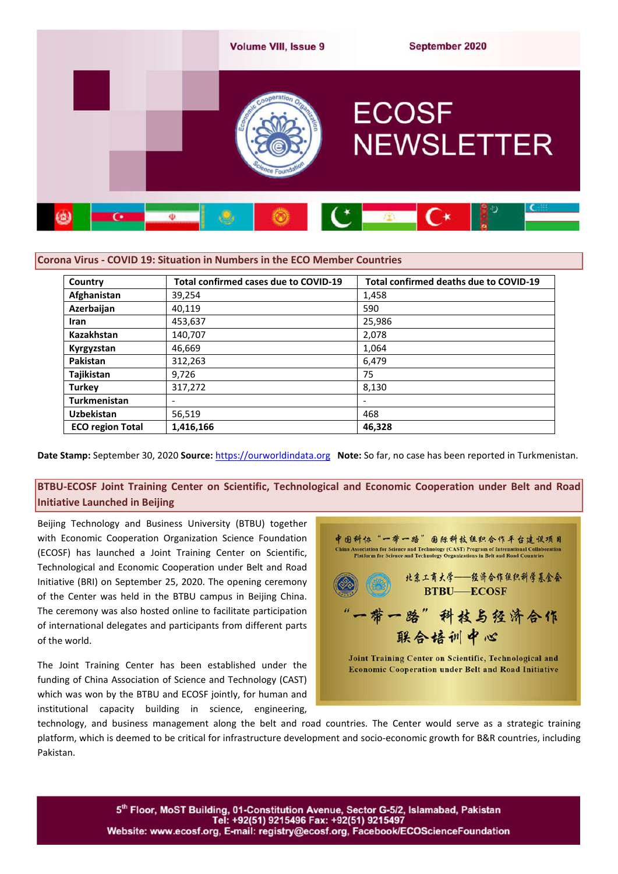

### **Corona Virus - COVID 19: Situation in Numbers in the ECO Member Countries**

| Country                 | Total confirmed cases due to COVID-19 | Total confirmed deaths due to COVID-19 |
|-------------------------|---------------------------------------|----------------------------------------|
| Afghanistan             | 39,254                                | 1,458                                  |
| Azerbaijan              | 40,119                                | 590                                    |
| <b>Iran</b>             | 453,637                               | 25,986                                 |
| Kazakhstan              | 140,707                               | 2,078                                  |
| Kyrgyzstan              | 46,669                                | 1,064                                  |
| Pakistan                | 312,263                               | 6,479                                  |
| Tajikistan              | 9,726                                 | 75                                     |
| <b>Turkey</b>           | 317,272                               | 8,130                                  |
| <b>Turkmenistan</b>     | -                                     | $\overline{\phantom{0}}$               |
| <b>Uzbekistan</b>       | 56,519                                | 468                                    |
| <b>ECO region Total</b> | 1,416,166                             | 46,328                                 |

**Date Stamp:** September 30, 2020 **Source:** https://ourworldindata.org **Note:** So far, no case has been reported in Turkmenistan.

**BTBU-ECOSF Joint Training Center on Scientific, Technological and Economic Cooperation under Belt and Road Initiative Launched in Beijing**

Beijing Technology and Business University (BTBU) together with Economic Cooperation Organization Science Foundation (ECOSF) has launched a Joint Training Center on Scientific, Technological and Economic Cooperation under Belt and Road Initiative (BRI) on September 25, 2020. The opening ceremony of the Center was held in the BTBU campus in Beijing China. The ceremony was also hosted online to facilitate participation of international delegates and participants from different parts of the world.

The Joint Training Center has been established under the funding of China Association of Science and Technology (CAST) which was won by the BTBU and ECOSF jointly, for human and institutional capacity building in science, engineering,



technology, and business management along the belt and road countries. The Center would serve as a strategic training platform, which is deemed to be critical for infrastructure development and socio-economic growth for B&R countries, including Pakistan.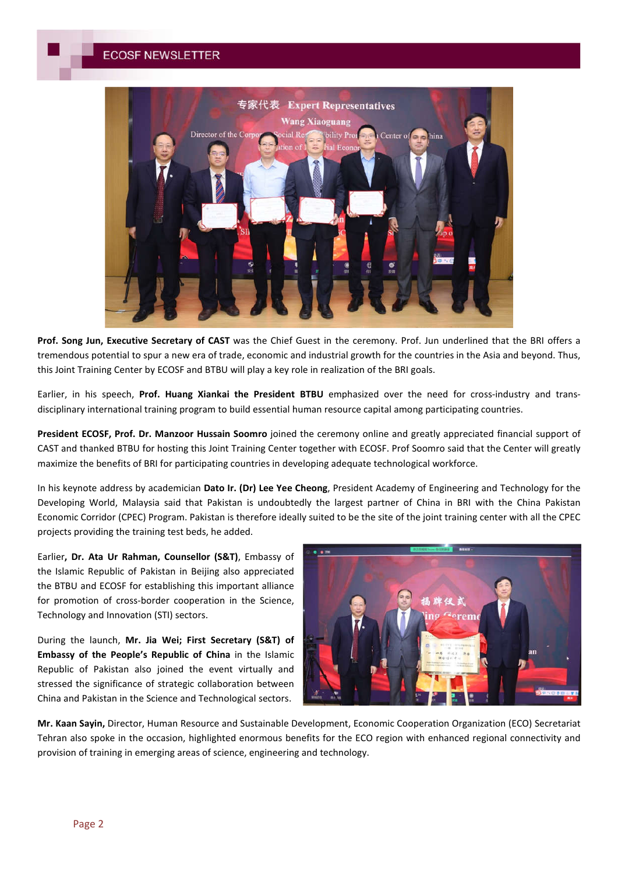

**Prof. Song Jun, Executive Secretary of CAST** was the Chief Guest in the ceremony. Prof. Jun underlined that the BRI offers a tremendous potential to spur a new era of trade, economic and industrial growth for the countries in the Asia and beyond. Thus, this Joint Training Center by ECOSF and BTBU will play a key role in realization of the BRI goals.

Earlier, in his speech, **Prof. Huang Xiankai the President BTBU** emphasized over the need for cross-industry and transdisciplinary international training program to build essential human resource capital among participating countries.

**President ECOSF, Prof. Dr. Manzoor Hussain Soomro** joined the ceremony online and greatly appreciated financial support of CAST and thanked BTBU for hosting this Joint Training Center together with ECOSF. Prof Soomro said that the Center will greatly maximize the benefits of BRI for participating countries in developing adequate technological workforce.

In his keynote address by academician **Dato Ir. (Dr) Lee Yee Cheong**, President Academy of Engineering and Technology for the Developing World, Malaysia said that Pakistan is undoubtedly the largest partner of China in BRI with the China Pakistan Economic Corridor (CPEC) Program. Pakistan is therefore ideally suited to be the site of the joint training center with all the CPEC projects providing the training test beds, he added.

Earlier**, Dr. Ata Ur Rahman, Counsellor (S&T)**, Embassy of the Islamic Republic of Pakistan in Beijing also appreciated the BTBU and ECOSF for establishing this important alliance for promotion of cross-border cooperation in the Science, Technology and Innovation (STI) sectors.

During the launch, **Mr. Jia Wei; First Secretary (S&T) of Embassy of the People's Republic of China** in the Islamic Republic of Pakistan also joined the event virtually and stressed the significance of strategic collaboration between China and Pakistan in the Science and Technological sectors.



**Mr. Kaan Sayin,** Director, Human Resource and Sustainable Development, Economic Cooperation Organization (ECO) Secretariat Tehran also spoke in the occasion, highlighted enormous benefits for the ECO region with enhanced regional connectivity and provision of training in emerging areas of science, engineering and technology.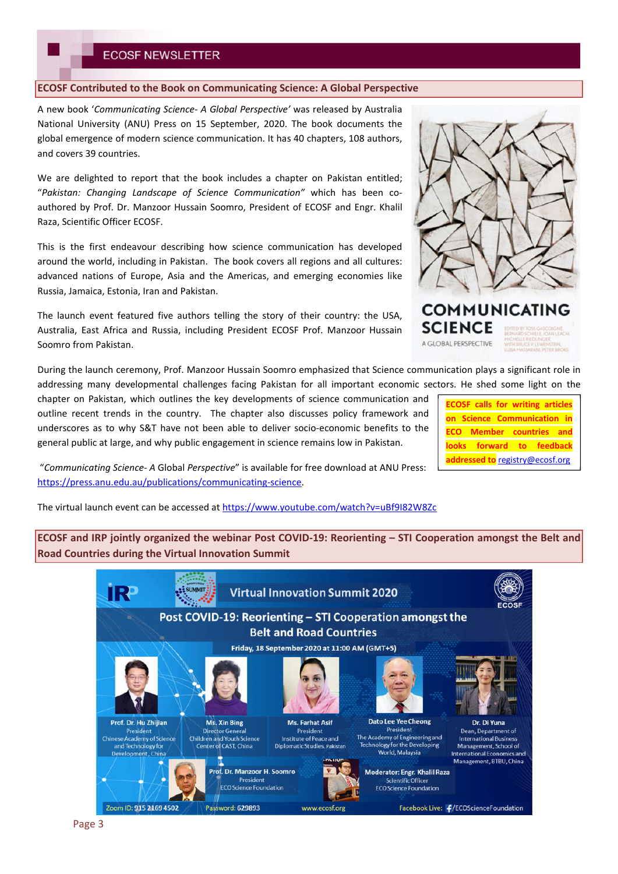### **ECOSF Contributed to the Book on Communicating Science: A Global Perspective**

A new book '*Communicating Science- A Global Perspective'* was released by Australia National University (ANU) Press on 15 September, 2020. The book documents the global emergence of modern science communication. It has 40 chapters, 108 authors, and covers 39 countries.

We are delighted to report that the book includes a chapter on Pakistan entitled: "*Pakistan: Changing Landscape of Science Communication"* which has been coauthored by Prof. Dr. Manzoor Hussain Soomro, President of ECOSF and Engr. Khalil Raza, Scientific Officer ECOSF.

This is the first endeavour describing how science communication has developed around the world, including in Pakistan. The book covers all regions and all cultures: advanced nations of Europe, Asia and the Americas, and emerging economies like Russia, Jamaica, Estonia, Iran and Pakistan.

The launch event featured five authors telling the story of their country: the USA, Australia, East Africa and Russia, including President ECOSF Prof. Manzoor Hussain Soomro from Pakistan.

During the launch ceremony, Prof. Manzoor Hussain Soomro emphasized that Science communication plays a significant role in addressing many developmental challenges facing Pakistan for all important economic sectors. He shed some light on the

chapter on Pakistan, which outlines the key developments of science communication and outline recent trends in the country. The chapter also discusses policy framework and underscores as to why S&T have not been able to deliver socio-economic benefits to the general public at large, and why public engagement in science remains low in Pakistan.

"*Communicating Science- A* Global *Perspective*" is available for free download at ANU Press: https://press.anu.edu.au/publications/communicating-science.

The virtual launch event can be accessed at https://www.youtube.com/watch?v=uBf9I82W8Zc

**ECOSF and IRP jointly organized the webinar Post COVID-19: Reorienting – STI Cooperation amongst the Belt and Road Countries during the Virtual Innovation Summit**





A GLOBAL PERSPECTIVE

**ECOSF calls for writing articles on Science Communication in ECO Member countries and looks forward to feedback** 

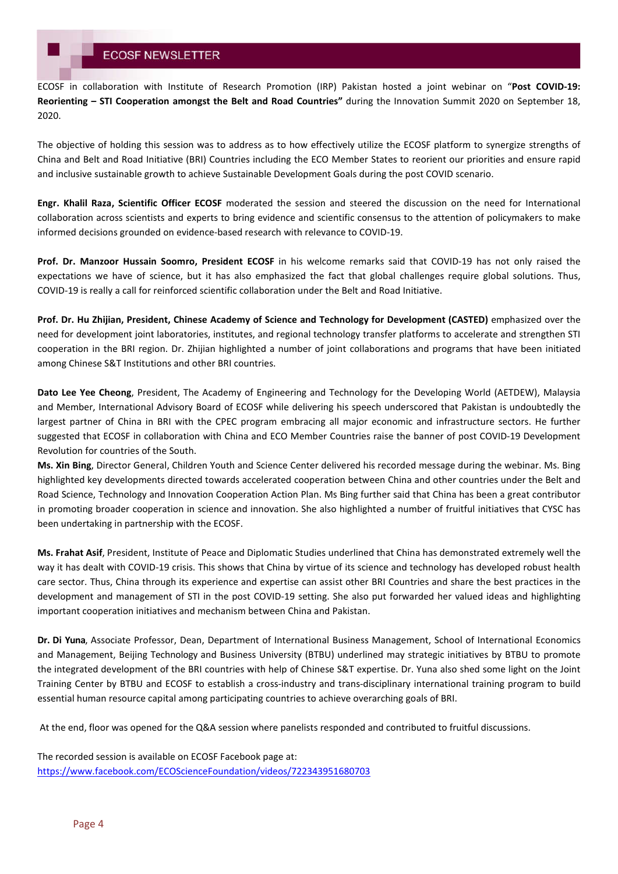ECOSF in collaboration with Institute of Research Promotion (IRP) Pakistan hosted a joint webinar on "**Post COVID-19: Reorienting – STI Cooperation amongst the Belt and Road Countries"** during the Innovation Summit 2020 on September 18, 2020.

The objective of holding this session was to address as to how effectively utilize the ECOSF platform to synergize strengths of China and Belt and Road Initiative (BRI) Countries including the ECO Member States to reorient our priorities and ensure rapid and inclusive sustainable growth to achieve Sustainable Development Goals during the post COVID scenario.

**Engr. Khalil Raza, Scientific Officer ECOSF** moderated the session and steered the discussion on the need for International collaboration across scientists and experts to bring evidence and scientific consensus to the attention of policymakers to make informed decisions grounded on evidence-based research with relevance to COVID-19.

**Prof. Dr. Manzoor Hussain Soomro, President ECOSF** in his welcome remarks said that COVID-19 has not only raised the expectations we have of science, but it has also emphasized the fact that global challenges require global solutions. Thus, COVID-19 is really a call for reinforced scientific collaboration under the Belt and Road Initiative.

**Prof. Dr. Hu Zhijian, President, Chinese Academy of Science and Technology for Development (CASTED)** emphasized over the need for development joint laboratories, institutes, and regional technology transfer platforms to accelerate and strengthen STI cooperation in the BRI region. Dr. Zhijian highlighted a number of joint collaborations and programs that have been initiated among Chinese S&T Institutions and other BRI countries.

**Dato Lee Yee Cheong**, President, The Academy of Engineering and Technology for the Developing World (AETDEW), Malaysia and Member, International Advisory Board of ECOSF while delivering his speech underscored that Pakistan is undoubtedly the largest partner of China in BRI with the CPEC program embracing all major economic and infrastructure sectors. He further suggested that ECOSF in collaboration with China and ECO Member Countries raise the banner of post COVID-19 Development Revolution for countries of the South.

**Ms. Xin Bing**, Director General, Children Youth and Science Center delivered his recorded message during the webinar. Ms. Bing highlighted key developments directed towards accelerated cooperation between China and other countries under the Belt and Road Science, Technology and Innovation Cooperation Action Plan. Ms Bing further said that China has been a great contributor in promoting broader cooperation in science and innovation. She also highlighted a number of fruitful initiatives that CYSC has been undertaking in partnership with the ECOSF.

**Ms. Frahat Asif**, President, Institute of Peace and Diplomatic Studies underlined that China has demonstrated extremely well the way it has dealt with COVID-19 crisis. This shows that China by virtue of its science and technology has developed robust health care sector. Thus, China through its experience and expertise can assist other BRI Countries and share the best practices in the development and management of STI in the post COVID-19 setting. She also put forwarded her valued ideas and highlighting important cooperation initiatives and mechanism between China and Pakistan.

**Dr. Di Yuna**, Associate Professor, Dean, Department of International Business Management, School of International Economics and Management, Beijing Technology and Business University (BTBU) underlined may strategic initiatives by BTBU to promote the integrated development of the BRI countries with help of Chinese S&T expertise. Dr. Yuna also shed some light on the Joint Training Center by BTBU and ECOSF to establish a cross-industry and trans-disciplinary international training program to build essential human resource capital among participating countries to achieve overarching goals of BRI.

At the end, floor was opened for the Q&A session where panelists responded and contributed to fruitful discussions.

The recorded session is available on ECOSF Facebook page at: https://www.facebook.com/ECOScienceFoundation/videos/722343951680703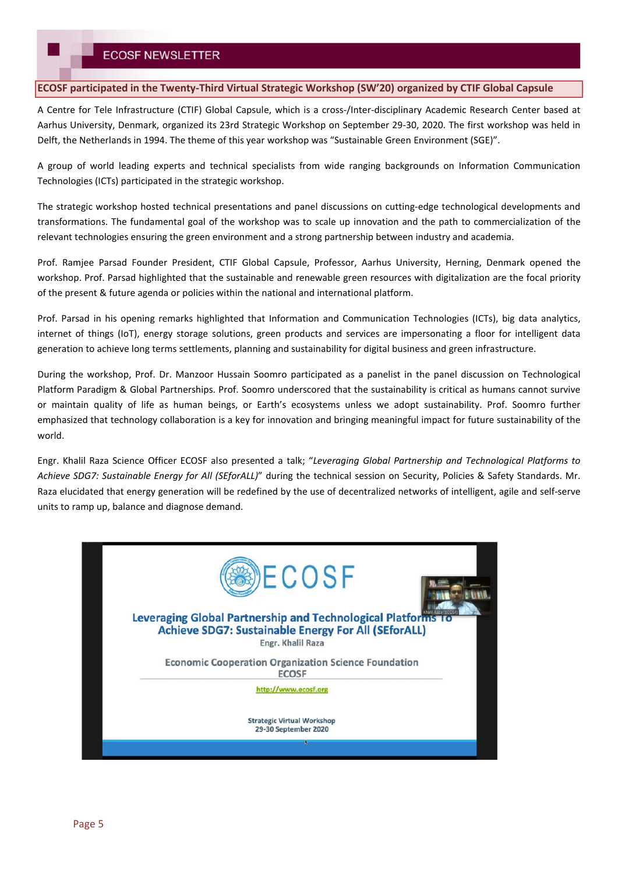### **ECOSF participated in the Twenty-Third Virtual Strategic Workshop (SW'20) organized by CTIF Global Capsule**

A Centre for Tele Infrastructure (CTIF) Global Capsule, which is a cross-/Inter-disciplinary Academic Research Center based at Aarhus University, Denmark, organized its 23rd Strategic Workshop on September 29-30, 2020. The first workshop was held in Delft, the Netherlands in 1994. The theme of this year workshop was "Sustainable Green Environment (SGE)".

A group of world leading experts and technical specialists from wide ranging backgrounds on Information Communication Technologies (ICTs) participated in the strategic workshop.

The strategic workshop hosted technical presentations and panel discussions on cutting-edge technological developments and transformations. The fundamental goal of the workshop was to scale up innovation and the path to commercialization of the relevant technologies ensuring the green environment and a strong partnership between industry and academia.

Prof. Ramjee Parsad Founder President, CTIF Global Capsule, Professor, Aarhus University, Herning, Denmark opened the workshop. Prof. Parsad highlighted that the sustainable and renewable green resources with digitalization are the focal priority of the present & future agenda or policies within the national and international platform.

Prof. Parsad in his opening remarks highlighted that Information and Communication Technologies (ICTs), big data analytics, internet of things (IoT), energy storage solutions, green products and services are impersonating a floor for intelligent data generation to achieve long terms settlements, planning and sustainability for digital business and green infrastructure.

During the workshop, Prof. Dr. Manzoor Hussain Soomro participated as a panelist in the panel discussion on Technological Platform Paradigm & Global Partnerships. Prof. Soomro underscored that the sustainability is critical as humans cannot survive or maintain quality of life as human beings, or Earth's ecosystems unless we adopt sustainability. Prof. Soomro further emphasized that technology collaboration is a key for innovation and bringing meaningful impact for future sustainability of the world.

Engr. Khalil Raza Science Officer ECOSF also presented a talk; "*Leveraging Global Partnership and Technological Platforms to Achieve SDG7: Sustainable Energy for All (SEforALL)*" during the technical session on Security, Policies & Safety Standards. Mr. Raza elucidated that energy generation will be redefined by the use of decentralized networks of intelligent, agile and self-serve units to ramp up, balance and diagnose demand.

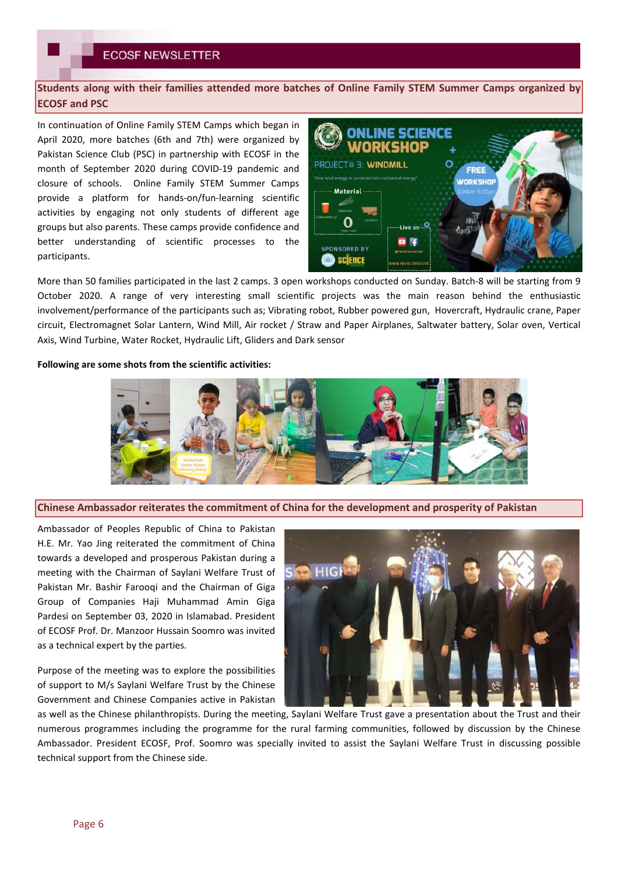**Students along with their families attended more batches of Online Family STEM Summer Camps organized by ECOSF and PSC**

In continuation of Online Family STEM Camps which began in April 2020, more batches (6th and 7th) were organized by Pakistan Science Club (PSC) in partnership with ECOSF in the month of September 2020 during COVID-19 pandemic and closure of schools. Online Family STEM Summer Camps provide a platform for hands-on/fun-learning scientific activities by engaging not only students of different age groups but also parents. These camps provide confidence and better understanding of scientific processes to the participants.



More than 50 families participated in the last 2 camps. 3 open workshops conducted on Sunday. Batch-8 will be starting from 9 October 2020. A range of very interesting small scientific projects was the main reason behind the enthusiastic involvement/performance of the participants such as; Vibrating robot, Rubber powered gun, Hovercraft, Hydraulic crane, Paper circuit, Electromagnet Solar Lantern, Wind Mill, Air rocket / Straw and Paper Airplanes, Saltwater battery, Solar oven, Vertical Axis, Wind Turbine, Water Rocket, Hydraulic Lift, Gliders and Dark sensor

### **Following are some shots from the scientific activities:**



**Chinese Ambassador reiterates the commitment of China for the development and prosperity of Pakistan**

Ambassador of Peoples Republic of China to Pakistan H.E. Mr. Yao Jing reiterated the commitment of China towards a developed and prosperous Pakistan during a meeting with the Chairman of Saylani Welfare Trust of Pakistan Mr. Bashir Farooqi and the Chairman of Giga Group of Companies Haji Muhammad Amin Giga Pardesi on September 03, 2020 in Islamabad. President of ECOSF Prof. Dr. Manzoor Hussain Soomro was invited as a technical expert by the parties.

Purpose of the meeting was to explore the possibilities of support to M/s Saylani Welfare Trust by the Chinese Government and Chinese Companies active in Pakistan



as well as the Chinese philanthropists. During the meeting, Saylani Welfare Trust gave a presentation about the Trust and their numerous programmes including the programme for the rural farming communities, followed by discussion by the Chinese Ambassador. President ECOSF, Prof. Soomro was specially invited to assist the Saylani Welfare Trust in discussing possible technical support from the Chinese side.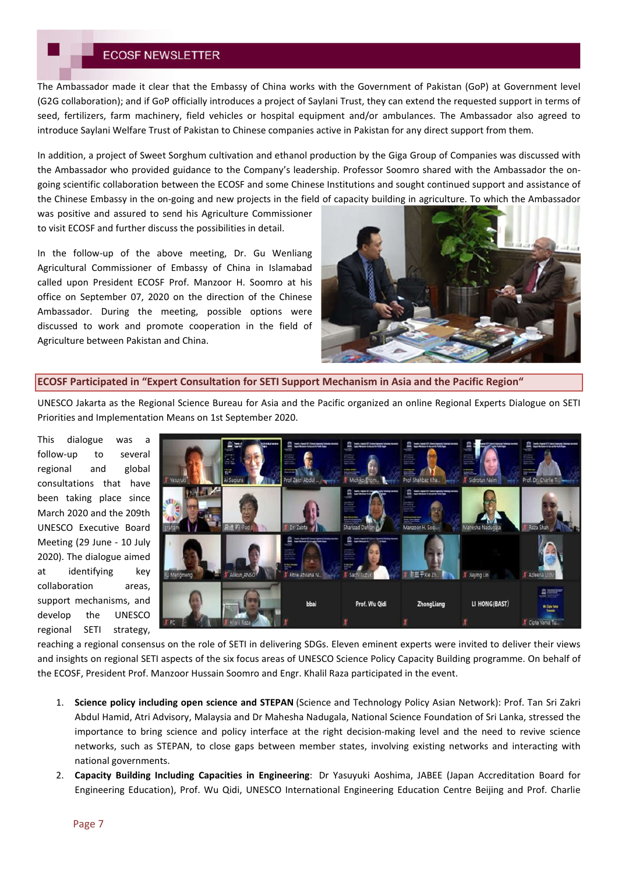The Ambassador made it clear that the Embassy of China works with the Government of Pakistan (GoP) at Government level (G2G collaboration); and if GoP officially introduces a project of Saylani Trust, they can extend the requested support in terms of seed, fertilizers, farm machinery, field vehicles or hospital equipment and/or ambulances. The Ambassador also agreed to introduce Saylani Welfare Trust of Pakistan to Chinese companies active in Pakistan for any direct support from them.

In addition, a project of Sweet Sorghum cultivation and ethanol production by the Giga Group of Companies was discussed with the Ambassador who provided guidance to the Company's leadership. Professor Soomro shared with the Ambassador the ongoing scientific collaboration between the ECOSF and some Chinese Institutions and sought continued support and assistance of the Chinese Embassy in the on-going and new projects in the field of capacity building in agriculture. To which the Ambassador

was positive and assured to send his Agriculture Commissioner to visit ECOSF and further discuss the possibilities in detail.

In the follow-up of the above meeting, Dr. Gu Wenliang Agricultural Commissioner of Embassy of China in Islamabad called upon President ECOSF Prof. Manzoor H. Soomro at his office on September 07, 2020 on the direction of the Chinese Ambassador. During the meeting, possible options were discussed to work and promote cooperation in the field of Agriculture between Pakistan and China.



### **ECOSF Participated in "Expert Consultation for SETI Support Mechanism in Asia and the Pacific Region"**

UNESCO Jakarta as the Regional Science Bureau for Asia and the Pacific organized an online Regional Experts Dialogue on SETI Priorities and Implementation Means on 1st September 2020.

This dialogue was a follow-up to several regional and global consultations that have been taking place since March 2020 and the 209th UNESCO Executive Board Meeting (29 June - 10 July 2020). The dialogue aimed at identifying key collaboration areas, support mechanisms, and develop the UNESCO regional SETI strategy,



reaching a regional consensus on the role of SETI in delivering SDGs. Eleven eminent experts were invited to deliver their views and insights on regional SETI aspects of the six focus areas of UNESCO Science Policy Capacity Building programme. On behalf of the ECOSF, President Prof. Manzoor Hussain Soomro and Engr. Khalil Raza participated in the event.

- 1. **Science policy including open science and STEPAN** (Science and Technology Policy Asian Network): Prof. Tan Sri Zakri Abdul Hamid, Atri Advisory, Malaysia and Dr Mahesha Nadugala, National Science Foundation of Sri Lanka, stressed the importance to bring science and policy interface at the right decision-making level and the need to revive science networks, such as STEPAN, to close gaps between member states, involving existing networks and interacting with national governments.
- 2. **Capacity Building Including Capacities in Engineering**: Dr Yasuyuki Aoshima, JABEE (Japan Accreditation Board for Engineering Education), Prof. Wu Qidi, UNESCO International Engineering Education Centre Beijing and Prof. Charlie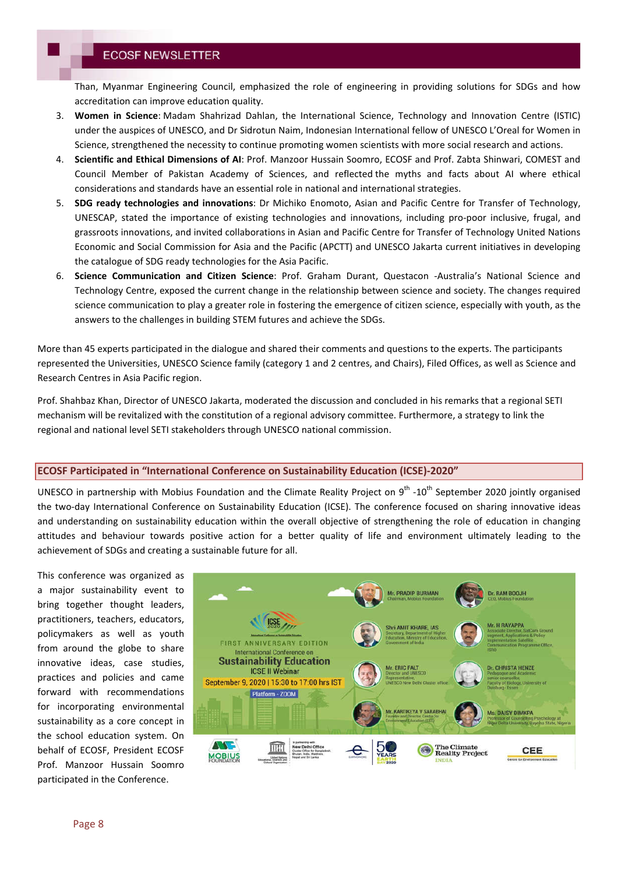Than, Myanmar Engineering Council, emphasized the role of engineering in providing solutions for SDGs and how accreditation can improve education quality.

- 3. **Women in Science**: Madam Shahrizad Dahlan, the International Science, Technology and Innovation Centre (ISTIC) under the auspices of UNESCO, and Dr Sidrotun Naim, Indonesian International fellow of UNESCO L'Oreal for Women in Science, strengthened the necessity to continue promoting women scientists with more social research and actions.
- 4. **Scientific and Ethical Dimensions of AI**: Prof. Manzoor Hussain Soomro, ECOSF and Prof. Zabta Shinwari, COMEST and Council Member of Pakistan Academy of Sciences, and reflected the myths and facts about AI where ethical considerations and standards have an essential role in national and international strategies.
- 5. **SDG ready technologies and innovations**: Dr Michiko Enomoto, Asian and Pacific Centre for Transfer of Technology, UNESCAP, stated the importance of existing technologies and innovations, including pro-poor inclusive, frugal, and grassroots innovations, and invited collaborations in Asian and Pacific Centre for Transfer of Technology United Nations Economic and Social Commission for Asia and the Pacific (APCTT) and UNESCO Jakarta current initiatives in developing the catalogue of SDG ready technologies for the Asia Pacific.
- 6. **Science Communication and Citizen Science**: Prof. Graham Durant, Questacon -Australia's National Science and Technology Centre, exposed the current change in the relationship between science and society. The changes required science communication to play a greater role in fostering the emergence of citizen science, especially with youth, as the answers to the challenges in building STEM futures and achieve the SDGs.

More than 45 experts participated in the dialogue and shared their comments and questions to the experts. The participants represented the Universities, UNESCO Science family (category 1 and 2 centres, and Chairs), Filed Offices, as well as Science and Research Centres in Asia Pacific region.

Prof. Shahbaz Khan, Director of UNESCO Jakarta, moderated the discussion and concluded in his remarks that a regional SETI mechanism will be revitalized with the constitution of a regional advisory committee. Furthermore, a strategy to link the regional and national level SETI stakeholders through UNESCO national commission.

## **ECOSF Participated in "International Conference on Sustainability Education (ICSE)-2020"**

UNESCO in partnership with Mobius Foundation and the Climate Reality Project on 9<sup>th</sup> -10<sup>th</sup> September 2020 jointly organised the two-day International Conference on Sustainability Education (ICSE). The conference focused on sharing innovative ideas and understanding on sustainability education within the overall objective of strengthening the role of education in changing attitudes and behaviour towards positive action for a better quality of life and environment ultimately leading to the achievement of SDGs and creating a sustainable future for all.

This conference was organized as a major sustainability event to bring together thought leaders, practitioners, teachers, educators, policymakers as well as youth from around the globe to share innovative ideas, case studies, practices and policies and came forward with recommendations for incorporating environmental sustainability as a core concept in the school education system. On behalf of ECOSF, President ECOSF Prof. Manzoor Hussain Soomro participated in the Conference.

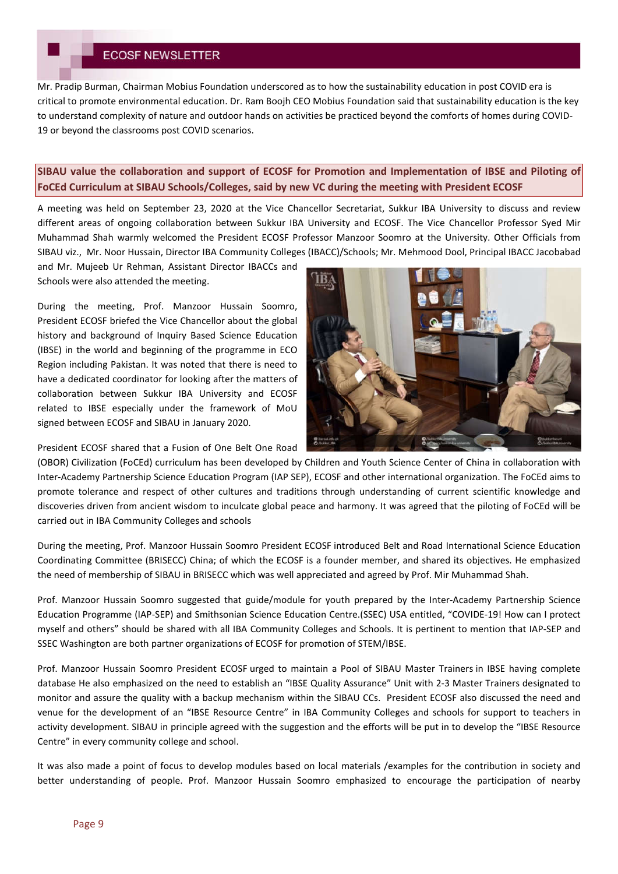Mr. Pradip Burman, Chairman Mobius Foundation underscored as to how the sustainability education in post COVID era is critical to promote environmental education. Dr. Ram Boojh CEO Mobius Foundation said that sustainability education is the key to understand complexity of nature and outdoor hands on activities be practiced beyond the comforts of homes during COVID-19 or beyond the classrooms post COVID scenarios.

## **SIBAU value the collaboration and support of ECOSF for Promotion and Implementation of IBSE and Piloting of FoCEd Curriculum at SIBAU Schools/Colleges, said by new VC during the meeting with President ECOSF**

A meeting was held on September 23, 2020 at the Vice Chancellor Secretariat, Sukkur IBA University to discuss and review different areas of ongoing collaboration between Sukkur IBA University and ECOSF. The Vice Chancellor Professor Syed Mir Muhammad Shah warmly welcomed the President ECOSF Professor Manzoor Soomro at the University. Other Officials from SIBAU viz., Mr. Noor Hussain, Director IBA Community Colleges (IBACC)/Schools; Mr. Mehmood Dool, Principal IBACC Jacobabad

and Mr. Mujeeb Ur Rehman, Assistant Director IBACCs and Schools were also attended the meeting.

During the meeting, Prof. Manzoor Hussain Soomro, President ECOSF briefed the Vice Chancellor about the global history and background of Inquiry Based Science Education (IBSE) in the world and beginning of the programme in ECO Region including Pakistan. It was noted that there is need to have a dedicated coordinator for looking after the matters of collaboration between Sukkur IBA University and ECOSF related to IBSE especially under the framework of MoU signed between ECOSF and SIBAU in January 2020.

President ECOSF shared that a Fusion of One Belt One Road



(OBOR) Civilization (FoCEd) curriculum has been developed by Children and Youth Science Center of China in collaboration with Inter-Academy Partnership Science Education Program (IAP SEP), ECOSF and other international organization. The FoCEd aims to promote tolerance and respect of other cultures and traditions through understanding of current scientific knowledge and discoveries driven from ancient wisdom to inculcate global peace and harmony. It was agreed that the piloting of FoCEd will be carried out in IBA Community Colleges and schools

During the meeting, Prof. Manzoor Hussain Soomro President ECOSF introduced Belt and Road International Science Education Coordinating Committee (BRISECC) China; of which the ECOSF is a founder member, and shared its objectives. He emphasized the need of membership of SIBAU in BRISECC which was well appreciated and agreed by Prof. Mir Muhammad Shah.

Prof. Manzoor Hussain Soomro suggested that guide/module for youth prepared by the Inter-Academy Partnership Science Education Programme (IAP-SEP) and Smithsonian Science Education Centre.(SSEC) USA entitled, "COVIDE-19! How can I protect myself and others" should be shared with all IBA Community Colleges and Schools. It is pertinent to mention that IAP-SEP and SSEC Washington are both partner organizations of ECOSF for promotion of STEM/IBSE.

Prof. Manzoor Hussain Soomro President ECOSF urged to maintain a Pool of SIBAU Master Trainers in IBSE having complete database He also emphasized on the need to establish an "IBSE Quality Assurance" Unit with 2-3 Master Trainers designated to monitor and assure the quality with a backup mechanism within the SIBAU CCs. President ECOSF also discussed the need and venue for the development of an "IBSE Resource Centre" in IBA Community Colleges and schools for support to teachers in activity development. SIBAU in principle agreed with the suggestion and the efforts will be put in to develop the "IBSE Resource Centre" in every community college and school.

It was also made a point of focus to develop modules based on local materials /examples for the contribution in society and better understanding of people. Prof. Manzoor Hussain Soomro emphasized to encourage the participation of nearby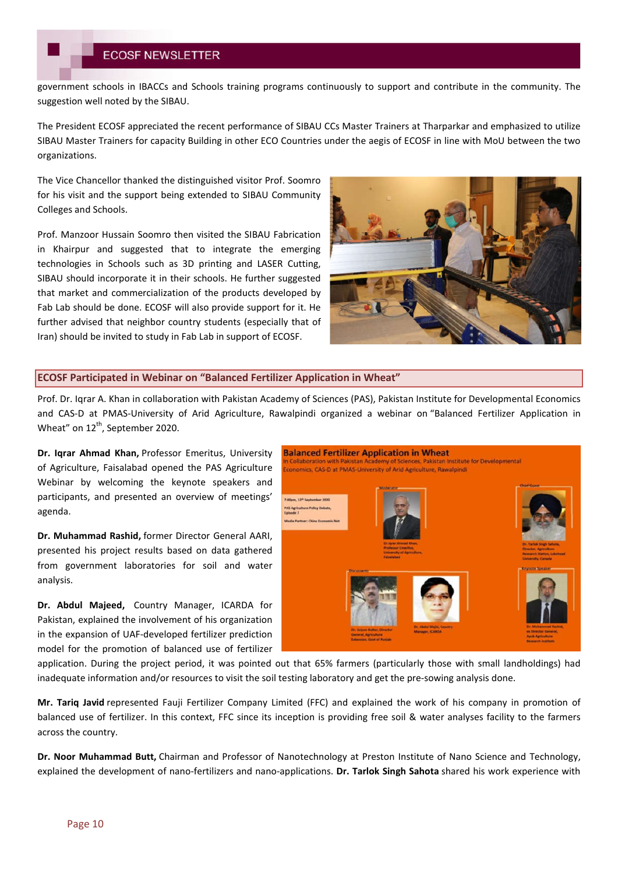government schools in IBACCs and Schools training programs continuously to support and contribute in the community. The suggestion well noted by the SIBAU.

The President ECOSF appreciated the recent performance of SIBAU CCs Master Trainers at Tharparkar and emphasized to utilize SIBAU Master Trainers for capacity Building in other ECO Countries under the aegis of ECOSF in line with MoU between the two organizations.

The Vice Chancellor thanked the distinguished visitor Prof. Soomro for his visit and the support being extended to SIBAU Community Colleges and Schools.

Prof. Manzoor Hussain Soomro then visited the SIBAU Fabrication in Khairpur and suggested that to integrate the emerging technologies in Schools such as 3D printing and LASER Cutting, SIBAU should incorporate it in their schools. He further suggested that market and commercialization of the products developed by Fab Lab should be done. ECOSF will also provide support for it. He further advised that neighbor country students (especially that of Iran) should be invited to study in Fab Lab in support of ECOSF.



## **ECOSF Participated in Webinar on "Balanced Fertilizer Application in Wheat"**

Prof. Dr. Iqrar A. Khan in collaboration with Pakistan Academy of Sciences (PAS), Pakistan Institute for Developmental Economics and CAS-D at PMAS-University of Arid Agriculture, Rawalpindi organized a webinar on "Balanced Fertilizer Application in Wheat" on 12<sup>th</sup>, September 2020.

**Dr. Iqrar Ahmad Khan,** Professor Emeritus, University of Agriculture, Faisalabad opened the PAS Agriculture Webinar by welcoming the keynote speakers and participants, and presented an overview of meetings' agenda.

**Dr. Muhammad Rashid,** former Director General AARI, presented his project results based on data gathered from government laboratories for soil and water analysis.

**Dr. Abdul Majeed,** Country Manager, ICARDA for Pakistan, explained the involvement of his organization in the expansion of UAF-developed fertilizer prediction model for the promotion of balanced use of fertilizer



application. During the project period, it was pointed out that 65% farmers (particularly those with small landholdings) had inadequate information and/or resources to visit the soil testing laboratory and get the pre-sowing analysis done.

**Mr. Tariq Javid** represented Fauji Fertilizer Company Limited (FFC) and explained the work of his company in promotion of balanced use of fertilizer. In this context, FFC since its inception is providing free soil & water analyses facility to the farmers across the country.

**Dr. Noor Muhammad Butt,** Chairman and Professor of Nanotechnology at Preston Institute of Nano Science and Technology, explained the development of nano-fertilizers and nano-applications. **Dr. Tarlok Singh Sahota** shared his work experience with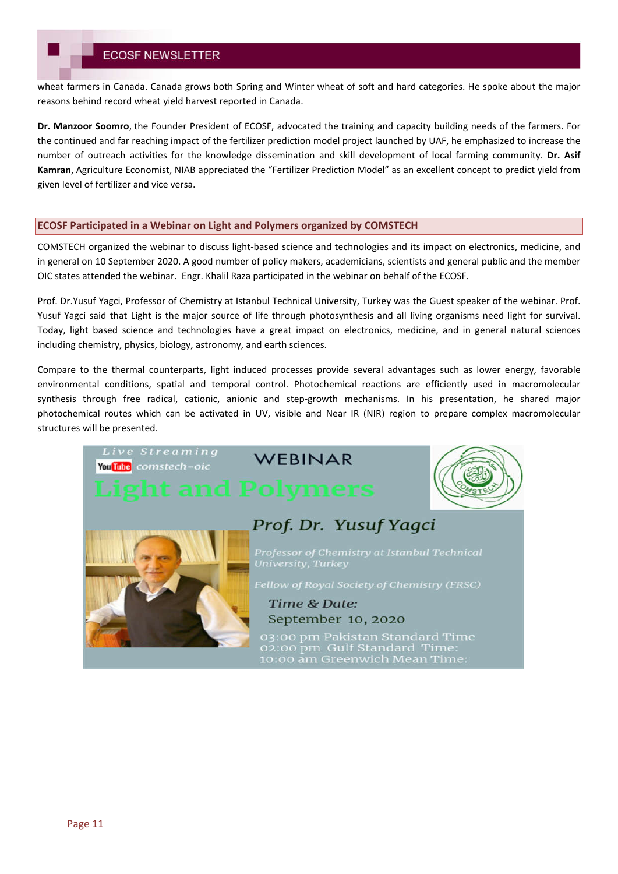wheat farmers in Canada. Canada grows both Spring and Winter wheat of soft and hard categories. He spoke about the major reasons behind record wheat yield harvest reported in Canada.

**Dr. Manzoor Soomro**, the Founder President of ECOSF, advocated the training and capacity building needs of the farmers. For the continued and far reaching impact of the fertilizer prediction model project launched by UAF, he emphasized to increase the number of outreach activities for the knowledge dissemination and skill development of local farming community. **Dr. Asif Kamran**, Agriculture Economist, NIAB appreciated the "Fertilizer Prediction Model" as an excellent concept to predict yield from given level of fertilizer and vice versa.

### **ECOSF Participated in a Webinar on Light and Polymers organized by COMSTECH**

COMSTECH organized the webinar to discuss light-based science and technologies and its impact on electronics, medicine, and in general on 10 September 2020. A good number of policy makers, academicians, scientists and general public and the member OIC states attended the webinar. Engr. Khalil Raza participated in the webinar on behalf of the ECOSF.

Prof. Dr.Yusuf Yagci, Professor of Chemistry at Istanbul Technical University, Turkey was the Guest speaker of the webinar. Prof. Yusuf Yagci said that Light is the major source of life through photosynthesis and all living organisms need light for survival. Today, light based science and technologies have a great impact on electronics, medicine, and in general natural sciences including chemistry, physics, biology, astronomy, and earth sciences.

Compare to the thermal counterparts, light induced processes provide several advantages such as lower energy, favorable environmental conditions, spatial and temporal control. Photochemical reactions are efficiently used in macromolecular synthesis through free radical, cationic, anionic and step-growth mechanisms. In his presentation, he shared major photochemical routes which can be activated in UV, visible and Near IR (NIR) region to prepare complex macromolecular structures will be presented.